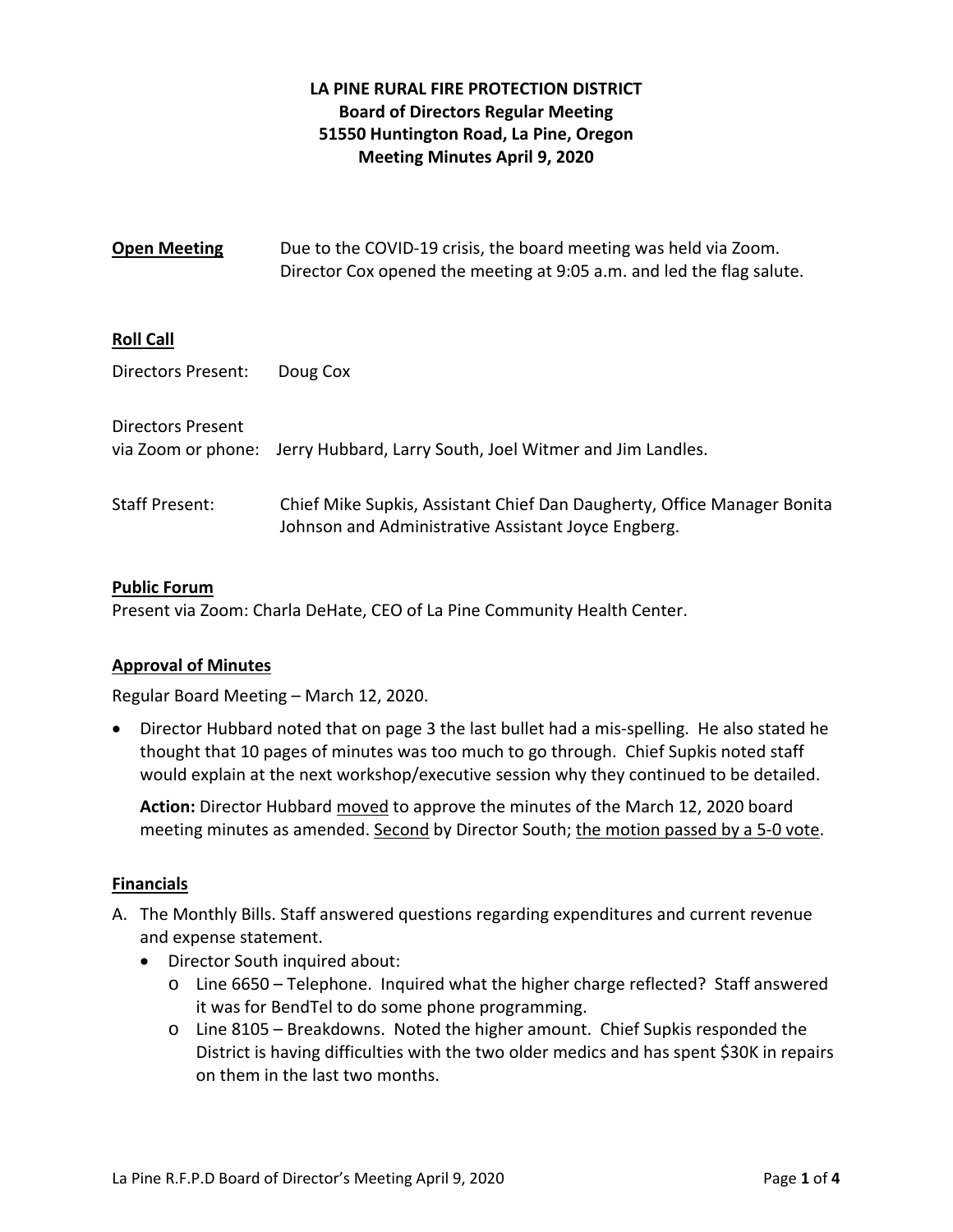# **LA PINE RURAL FIRE PROTECTION DISTRICT Board of Directors Regular Meeting 51550 Huntington Road, La Pine, Oregon Meeting Minutes April 9, 2020**

| <b>Open Meeting</b>      | Due to the COVID-19 crisis, the board meeting was held via Zoom.<br>Director Cox opened the meeting at 9:05 a.m. and led the flag salute. |
|--------------------------|-------------------------------------------------------------------------------------------------------------------------------------------|
| <b>Roll Call</b>         |                                                                                                                                           |
| Directors Present:       | Doug Cox                                                                                                                                  |
| <b>Directors Present</b> | via Zoom or phone: Jerry Hubbard, Larry South, Joel Witmer and Jim Landles.                                                               |
| <b>Staff Present:</b>    | Chief Mike Supkis, Assistant Chief Dan Daugherty, Office Manager Bonita<br>Johnson and Administrative Assistant Joyce Engberg.            |

### **Public Forum**

Present via Zoom: Charla DeHate, CEO of La Pine Community Health Center.

### **Approval of Minutes**

Regular Board Meeting – March 12, 2020.

● Director Hubbard noted that on page 3 the last bullet had a mis-spelling. He also stated he thought that 10 pages of minutes was too much to go through. Chief Supkis noted staff would explain at the next workshop/executive session why they continued to be detailed.

**Action:** Director Hubbard moved to approve the minutes of the March 12, 2020 board meeting minutes as amended. Second by Director South; the motion passed by a 5-0 vote.

### **Financials**

- A. The Monthly Bills. Staff answered questions regarding expenditures and current revenue and expense statement.
	- Director South inquired about:
		- o Line 6650 Telephone. Inquired what the higher charge reflected? Staff answered it was for BendTel to do some phone programming.
		- o Line 8105 Breakdowns. Noted the higher amount. Chief Supkis responded the District is having difficulties with the two older medics and has spent \$30K in repairs on them in the last two months.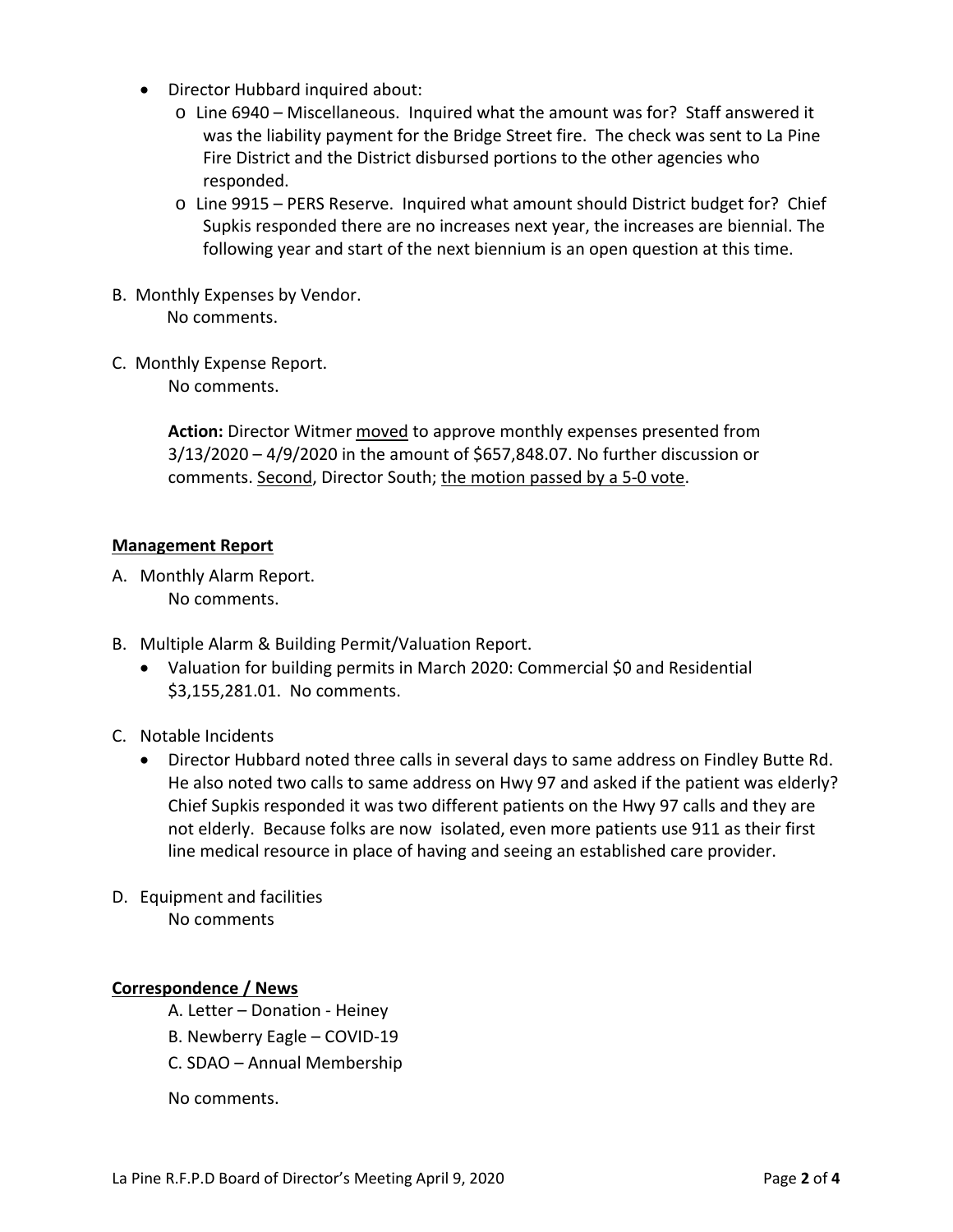- Director Hubbard inquired about:
	- o Line 6940 Miscellaneous. Inquired what the amount was for? Staff answered it was the liability payment for the Bridge Street fire. The check was sent to La Pine Fire District and the District disbursed portions to the other agencies who responded.
	- o Line 9915 PERS Reserve. Inquired what amount should District budget for? Chief Supkis responded there are no increases next year, the increases are biennial. The following year and start of the next biennium is an open question at this time.
- B. Monthly Expenses by Vendor. No comments.
- C. Monthly Expense Report.

No comments.

**Action:** Director Witmer moved to approve monthly expenses presented from 3/13/2020 – 4/9/2020 in the amount of \$657,848.07. No further discussion or comments. Second, Director South; the motion passed by a 5-0 vote.

### **Management Report**

- A. Monthly Alarm Report. No comments.
- B. Multiple Alarm & Building Permit/Valuation Report.
	- Valuation for building permits in March 2020: Commercial \$0 and Residential \$3,155,281.01. No comments.
- C. Notable Incidents
	- Director Hubbard noted three calls in several days to same address on Findley Butte Rd. He also noted two calls to same address on Hwy 97 and asked if the patient was elderly? Chief Supkis responded it was two different patients on the Hwy 97 calls and they are not elderly. Because folks are now isolated, even more patients use 911 as their first line medical resource in place of having and seeing an established care provider.
- D. Equipment and facilities No comments

### **Correspondence / News**

- A. Letter Donation ‐ Heiney
- B. Newberry Eagle COVID‐19
- C. SDAO Annual Membership

No comments.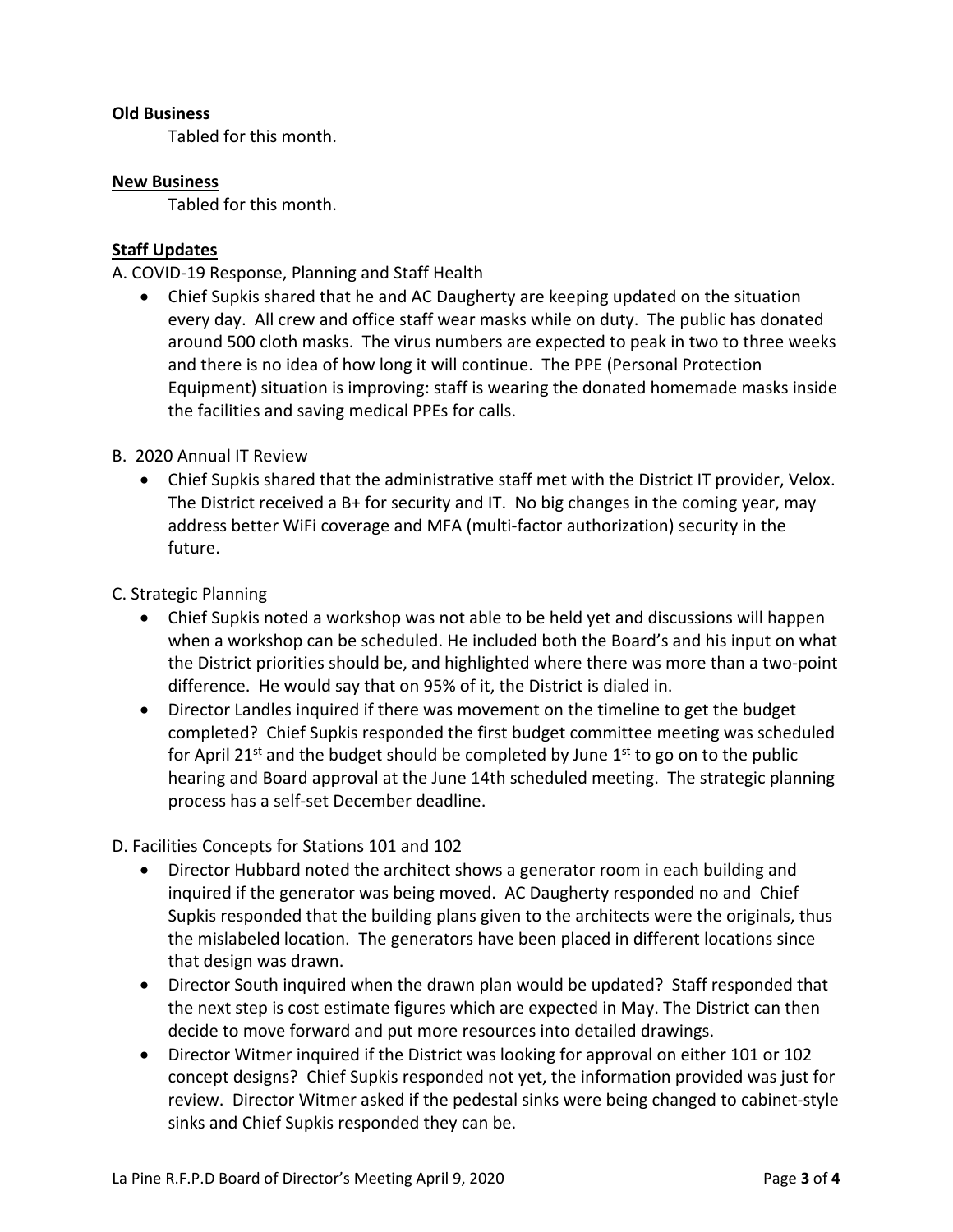### **Old Business**

Tabled for this month.

### **New Business**

Tabled for this month.

# **Staff Updates**

A. COVID‐19 Response, Planning and Staff Health

 Chief Supkis shared that he and AC Daugherty are keeping updated on the situation every day. All crew and office staff wear masks while on duty. The public has donated around 500 cloth masks. The virus numbers are expected to peak in two to three weeks and there is no idea of how long it will continue. The PPE (Personal Protection Equipment) situation is improving: staff is wearing the donated homemade masks inside the facilities and saving medical PPEs for calls.

## B. 2020 Annual IT Review

 Chief Supkis shared that the administrative staff met with the District IT provider, Velox. The District received a B+ for security and IT. No big changes in the coming year, may address better WiFi coverage and MFA (multi‐factor authorization) security in the future.

C. Strategic Planning

- Chief Supkis noted a workshop was not able to be held yet and discussions will happen when a workshop can be scheduled. He included both the Board's and his input on what the District priorities should be, and highlighted where there was more than a two‐point difference. He would say that on 95% of it, the District is dialed in.
- Director Landles inquired if there was movement on the timeline to get the budget completed? Chief Supkis responded the first budget committee meeting was scheduled for April 21st and the budget should be completed by June  $1<sup>st</sup>$  to go on to the public hearing and Board approval at the June 14th scheduled meeting. The strategic planning process has a self‐set December deadline.

D. Facilities Concepts for Stations 101 and 102

- Director Hubbard noted the architect shows a generator room in each building and inquired if the generator was being moved. AC Daugherty responded no and Chief Supkis responded that the building plans given to the architects were the originals, thus the mislabeled location. The generators have been placed in different locations since that design was drawn.
- Director South inquired when the drawn plan would be updated? Staff responded that the next step is cost estimate figures which are expected in May. The District can then decide to move forward and put more resources into detailed drawings.
- Director Witmer inquired if the District was looking for approval on either 101 or 102 concept designs? Chief Supkis responded not yet, the information provided was just for review. Director Witmer asked if the pedestal sinks were being changed to cabinet‐style sinks and Chief Supkis responded they can be.